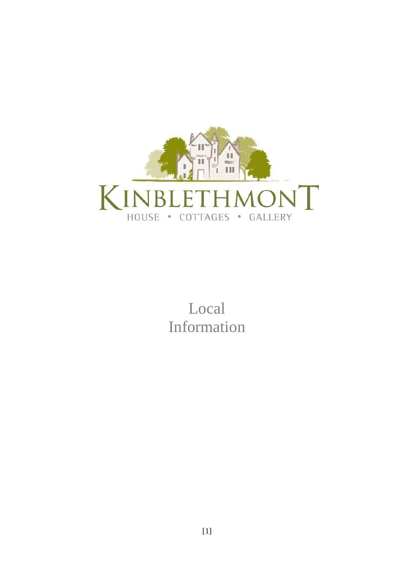

Local Information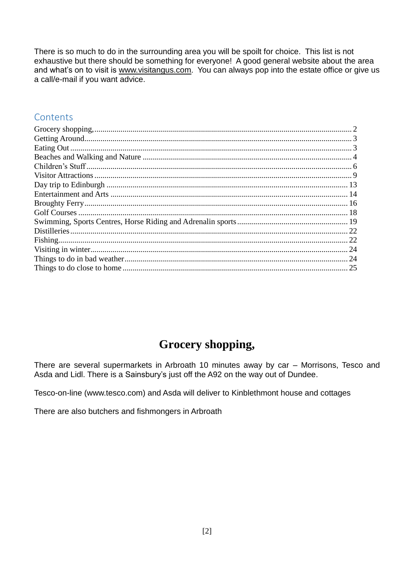There is so much to do in the surrounding area you will be spoilt for choice. This list is not exhaustive but there should be something for everyone! A good general website about the area and what's on to visit is www.visitangus.com. You can always pop into the estate office or give us a call/e-mail if you want advice.

## Contents

| -24 |
|-----|
|     |
|     |
|     |

# Grocery shopping,

<span id="page-1-0"></span>There are several supermarkets in Arbroath 10 minutes away by car - Morrisons, Tesco and Asda and Lidl. There is a Sainsbury's just off the A92 on the way out of Dundee.

Tesco-on-line (www.tesco.com) and Asda will deliver to Kinblethmont house and cottages

There are also butchers and fishmongers in Arbroath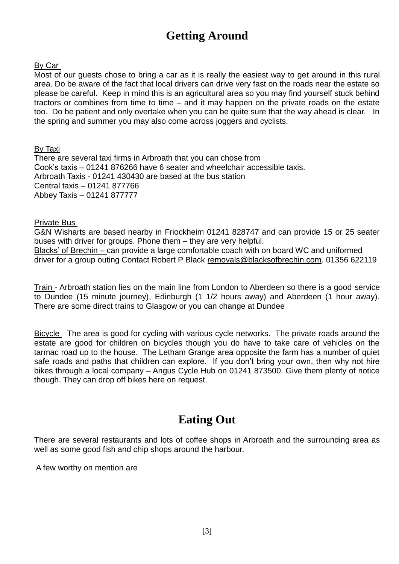# **Getting Around**

#### <span id="page-2-0"></span>By Car

Most of our guests chose to bring a car as it is really the easiest way to get around in this rural area. Do be aware of the fact that local drivers can drive very fast on the roads near the estate so please be careful. Keep in mind this is an agricultural area so you may find yourself stuck behind tractors or combines from time to time – and it may happen on the private roads on the estate too. Do be patient and only overtake when you can be quite sure that the way ahead is clear. In the spring and summer you may also come across joggers and cyclists.

### By Taxi

There are several taxi firms in Arbroath that you can chose from Cook's taxis – 01241 876266 have 6 seater and wheelchair accessible taxis. Arbroath Taxis - 01241 430430 are based at the bus station Central taxis – 01241 877766 Abbey Taxis – 01241 877777

### Private Bus

G&N Wisharts are based nearby in Friockheim 01241 828747 and can provide 15 or 25 seater buses with driver for groups. Phone them – they are very helpful. Blacks' of Brechin – can provide a large comfortable coach with on board WC and uniformed driver for a group outing Contact Robert P Black [removals@blacksofbrechin.com.](mailto:removals@blacksofbrechin.com) 01356 622119

Train - Arbroath station lies on the main line from London to Aberdeen so there is a good service to Dundee (15 minute journey), Edinburgh (1 1/2 hours away) and Aberdeen (1 hour away). There are some direct trains to Glasgow or you can change at Dundee

Bicycle The area is good for cycling with various cycle networks. The private roads around the estate are good for children on bicycles though you do have to take care of vehicles on the tarmac road up to the house. The Letham Grange area opposite the farm has a number of quiet safe roads and paths that children can explore. If you don't bring your own, then why not hire bikes through a local company – Angus Cycle Hub on 01241 873500. Give them plenty of notice though. They can drop off bikes here on request.

# **Eating Out**

<span id="page-2-1"></span>There are several restaurants and lots of coffee shops in Arbroath and the surrounding area as well as some good fish and chip shops around the harbour.

A few worthy on mention are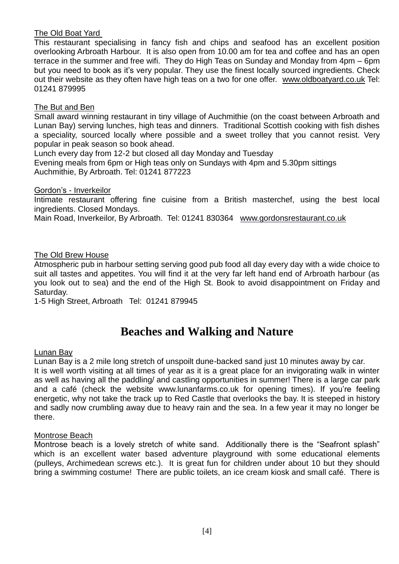### The Old Boat Yard

This restaurant specialising in fancy fish and chips and seafood has an excellent position overlooking Arbroath Harbour. It is also open from 10.00 am for tea and coffee and has an open terrace in the summer and free wifi. They do High Teas on Sunday and Monday from 4pm – 6pm but you need to book as it's very popular. They use the finest locally sourced ingredients. Check out their website as they often have high teas on a two for one offer. [www.oldboatyard.co.uk](http://www.oldboatyard.co.uk/) Tel: 01241 879995

### The But and Ben

Small award winning restaurant in tiny village of Auchmithie (on the coast between Arbroath and Lunan Bay) serving lunches, high teas and dinners. Traditional Scottish cooking with fish dishes a speciality, sourced locally where possible and a sweet trolley that you cannot resist. Very popular in peak season so book ahead.

Lunch every day from 12-2 but closed all day Monday and Tuesday Evening meals from 6pm or High teas only on Sundays with 4pm and 5.30pm sittings Auchmithie, By Arbroath. Tel: 01241 877223

### Gordon's - Inverkeilor

Intimate restaurant offering fine cuisine from a British masterchef, using the best local ingredients. Closed Mondays.

Main Road, Inverkeilor, By Arbroath. Tel: 01241 830364 [www.gordonsrestaurant.co.uk](http://www.gordonsrestaurant.co.uk/)

### The Old Brew House

Atmospheric pub in harbour setting serving good pub food all day every day with a wide choice to suit all tastes and appetites. You will find it at the very far left hand end of Arbroath harbour (as you look out to sea) and the end of the High St. Book to avoid disappointment on Friday and Saturday.

1-5 High Street, Arbroath Tel: 01241 879945

## **Beaches and Walking and Nature**

#### <span id="page-3-0"></span>Lunan Bay

Lunan Bay is a 2 mile long stretch of unspoilt dune-backed sand just 10 minutes away by car. It is well worth visiting at all times of year as it is a great place for an invigorating walk in winter

as well as having all the paddling/ and castling opportunities in summer! There is a large car park and a café (check the website [www.lunanfarms.co.uk](http://www.lunanfarms.co.uk/) for opening times). If you're feeling energetic, why not take the track up to Red Castle that overlooks the bay. It is steeped in history and sadly now crumbling away due to heavy rain and the sea. In a few year it may no longer be there.

### Montrose Beach

Montrose beach is a lovely stretch of white sand. Additionally there is the "Seafront splash" which is an excellent water based adventure playground with some educational elements (pulleys, Archimedean screws etc.). It is great fun for children under about 10 but they should bring a swimming costume! There are public toilets, an ice cream kiosk and small café. There is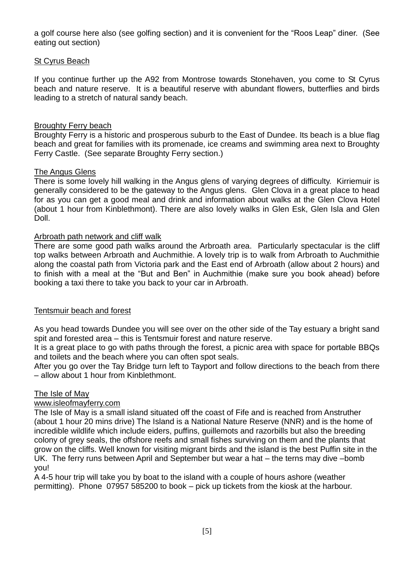a golf course here also (see golfing section) and it is convenient for the "Roos Leap" diner. (See eating out section)

### St Cyrus Beach

If you continue further up the A92 from Montrose towards Stonehaven, you come to St Cyrus beach and nature reserve. It is a beautiful reserve with abundant flowers, butterflies and birds leading to a stretch of natural sandy beach.

### Broughty Ferry beach

Broughty Ferry is a historic and prosperous suburb to the East of Dundee. Its beach is a blue flag beach and great for families with its promenade, ice creams and swimming area next to Broughty Ferry Castle. (See separate Broughty Ferry section.)

### The Angus Glens

There is some lovely hill walking in the Angus glens of varying degrees of difficulty. Kirriemuir is generally considered to be the gateway to the Angus glens. Glen Clova in a great place to head for as you can get a good meal and drink and information about walks at the Glen Clova Hotel (about 1 hour from Kinblethmont). There are also lovely walks in Glen Esk, Glen Isla and Glen Doll.

#### Arbroath path network and cliff walk

There are some good path walks around the Arbroath area. Particularly spectacular is the cliff top walks between Arbroath and Auchmithie. A lovely trip is to walk from Arbroath to Auchmithie along the coastal path from Victoria park and the East end of Arbroath (allow about 2 hours) and to finish with a meal at the "But and Ben" in Auchmithie (make sure you book ahead) before booking a taxi there to take you back to your car in Arbroath.

### Tentsmuir beach and forest

As you head towards Dundee you will see over on the other side of the Tay estuary a bright sand spit and forested area – this is Tentsmuir forest and nature reserve.

It is a great place to go with paths through the forest, a picnic area with space for portable BBQs and toilets and the beach where you can often spot seals.

After you go over the Tay Bridge turn left to Tayport and follow directions to the beach from there – allow about 1 hour from Kinblethmont.

#### The Isle of May

### [www.isleofmayferry.com](http://www.isleofmayferry.com/)

The Isle of May is a small island situated off the coast of Fife and is reached from Anstruther (about 1 hour 20 mins drive) The Island is a National Nature Reserve (NNR) and is the home of incredible wildlife which include eiders, puffins, guillemots and razorbills but also the breeding colony of grey seals, the offshore reefs and small fishes surviving on them and the plants that grow on the cliffs. Well known for visiting migrant birds and the island is the best Puffin site in the UK. The ferry runs between April and September but wear a hat – the terns may dive –bomb you!

A 4-5 hour trip will take you by boat to the island with a couple of hours ashore (weather permitting). Phone 07957 585200 to book – pick up tickets from the kiosk at the harbour.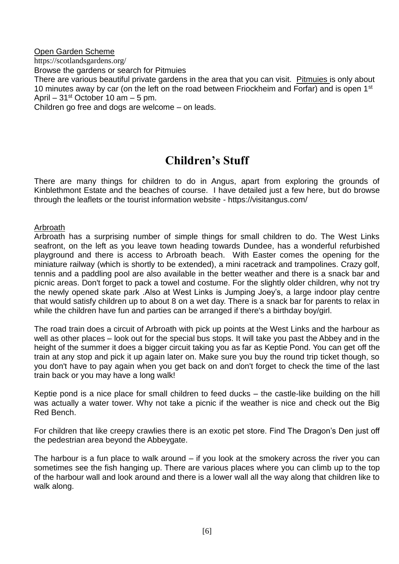Open Garden Scheme https://scotlandsgardens.org/ Browse the gardens or search for Pitmuies There are various beautiful private gardens in the area that you can visit. Pitmuies is only about 10 minutes away by car (on the left on the road between Friockheim and Forfar) and is open 1<sup>st</sup> April –  $31<sup>st</sup>$  October 10 am – 5 pm. Children go free and dogs are welcome – on leads.

# **Children's Stuff**

<span id="page-5-0"></span>There are many things for children to do in Angus, apart from exploring the grounds of Kinblethmont Estate and the beaches of course. I have detailed just a few here, but do browse through the leaflets or the tourist information website - https://visitangus.com/

### Arbroath

Arbroath has a surprising number of simple things for small children to do. The West Links seafront, on the left as you leave town heading towards Dundee, has a wonderful refurbished playground and there is access to Arbroath beach. With Easter comes the opening for the miniature railway (which is shortly to be extended), a mini racetrack and trampolines. Crazy golf, tennis and a paddling pool are also available in the better weather and there is a snack bar and picnic areas. Don't forget to pack a towel and costume. For the slightly older children, why not try the newly opened skate park .Also at West Links is Jumping Joey's, a large indoor play centre that would satisfy children up to about 8 on a wet day. There is a snack bar for parents to relax in while the children have fun and parties can be arranged if there's a birthday boy/girl.

The road train does a circuit of Arbroath with pick up points at the West Links and the harbour as well as other places – look out for the special bus stops. It will take you past the Abbey and in the height of the summer it does a bigger circuit taking you as far as Keptie Pond. You can get off the train at any stop and pick it up again later on. Make sure you buy the round trip ticket though, so you don't have to pay again when you get back on and don't forget to check the time of the last train back or you may have a long walk!

Keptie pond is a nice place for small children to feed ducks – the castle-like building on the hill was actually a water tower. Why not take a picnic if the weather is nice and check out the Big Red Bench.

For children that like creepy crawlies there is an exotic pet store. Find The Dragon's Den just off the pedestrian area beyond the Abbeygate.

The harbour is a fun place to walk around – if you look at the smokery across the river you can sometimes see the fish hanging up. There are various places where you can climb up to the top of the harbour wall and look around and there is a lower wall all the way along that children like to walk along.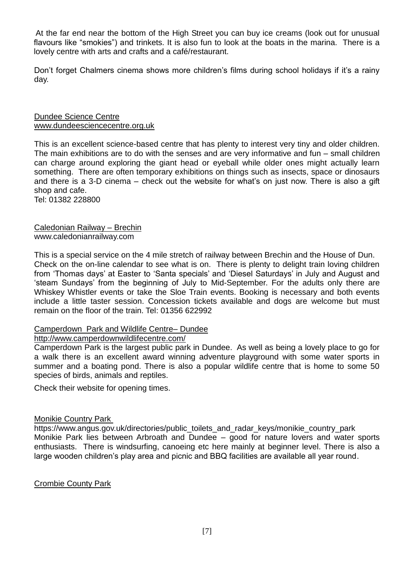At the far end near the bottom of the High Street you can buy ice creams (look out for unusual flavours like "smokies") and trinkets. It is also fun to look at the boats in the marina. There is a lovely centre with arts and crafts and a café/restaurant.

Don't forget Chalmers cinema shows more children's films during school holidays if it's a rainy day.

#### Dundee Science Centre [www.dundeesciencecentre.org.uk](http://www.dundeesciencecentre.org.uk/)

This is an excellent science-based centre that has plenty to interest very tiny and older children. The main exhibitions are to do with the senses and are very informative and fun – small children can charge around exploring the giant head or eyeball while older ones might actually learn something. There are often temporary exhibitions on things such as insects, space or dinosaurs and there is a 3-D cinema – check out the website for what's on just now. There is also a gift shop and cafe.

Tel: 01382 228800

### Caledonian Railway – Brechin [www.caledonianrailway.com](http://www.caledonianrailway.com/)

This is a special service on the 4 mile stretch of railway between Brechin and the House of Dun. Check on the on-line calendar to see what is on. There is plenty to delight train loving children from 'Thomas days' at Easter to 'Santa specials' and 'Diesel Saturdays' in July and August and 'steam Sundays' from the beginning of July to Mid-September. For the adults only there are Whiskey Whistler events or take the Sloe Train events. Booking is necessary and both events include a little taster session. Concession tickets available and dogs are welcome but must remain on the floor of the train. Tel: 01356 622992

### Camperdown Park and Wildlife Centre– Dundee

### <http://www.camperdownwildlifecentre.com/>

Camperdown Park is the largest public park in Dundee. As well as being a lovely place to go for a walk there is an excellent award winning adventure playground with some water sports in summer and a boating pond. There is also a popular wildlife centre that is home to some 50 species of birds, animals and reptiles.

Check their website for opening times.

### Monikie Country Park

https://www.angus.gov.uk/directories/public\_toilets\_and\_radar\_keys/monikie\_country\_park Monikie Park lies between Arbroath and Dundee – good for nature lovers and water sports enthusiasts. There is windsurfing, canoeing etc here mainly at beginner level. There is also a large wooden children's play area and picnic and BBQ facilities are available all year round.

### Crombie County Park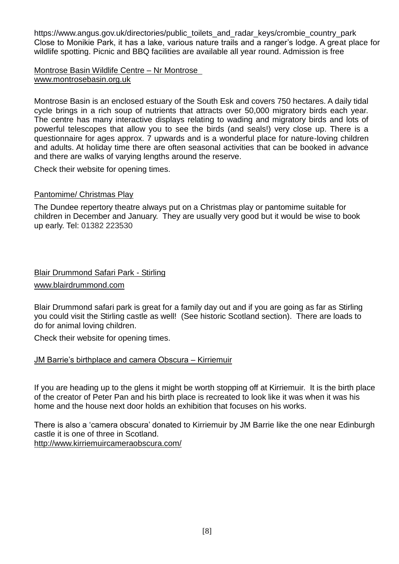https://www.angus.gov.uk/directories/public\_toilets\_and\_radar\_keys/crombie\_country\_park Close to Monikie Park, it has a lake, various nature trails and a ranger's lodge. A great place for wildlife spotting. Picnic and BBQ facilities are available all year round. Admission is free

#### Montrose Basin Wildlife Centre – Nr Montrose [www.montrosebasin.org.uk](http://www.montrosebasin.org.uk/)

Montrose Basin is an enclosed estuary of the South Esk and covers 750 hectares. A daily tidal cycle brings in a rich soup of nutrients that attracts over 50,000 migratory birds each year. The centre has many interactive displays relating to wading and migratory birds and lots of powerful telescopes that allow you to see the birds (and seals!) very close up. There is a questionnaire for ages approx. 7 upwards and is a wonderful place for nature-loving children and adults. At holiday time there are often seasonal activities that can be booked in advance and there are walks of varying lengths around the reserve.

Check their website for opening times.

### Pantomime/ Christmas Play

The Dundee repertory theatre always put on a Christmas play or pantomime suitable for children in December and January. They are usually very good but it would be wise to book up early. Tel: 01382 223530

## Blair Drummond Safari Park - Stirling

[www.blairdrummond.com](http://www.blairdrummond.com/)

Blair Drummond safari park is great for a family day out and if you are going as far as Stirling you could visit the Stirling castle as well! (See historic Scotland section). There are loads to do for animal loving children.

Check their website for opening times.

### JM Barrie's birthplace and camera Obscura – Kirriemuir

If you are heading up to the glens it might be worth stopping off at Kirriemuir. It is the birth place of the creator of Peter Pan and his birth place is recreated to look like it was when it was his home and the house next door holds an exhibition that focuses on his works.

There is also a 'camera obscura' donated to Kirriemuir by JM Barrie like the one near Edinburgh castle it is one of three in Scotland. <http://www.kirriemuircameraobscura.com/>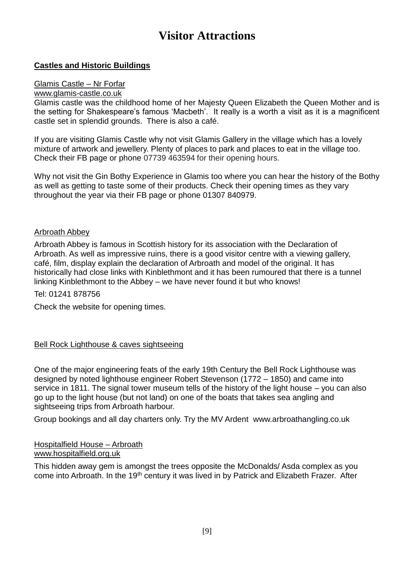# **Visitor Attractions**

### <span id="page-8-0"></span>**Castles and Historic Buildings**

#### Glamis Castle – Nr Forfar

#### [www.glamis-castle.co.uk](http://www.glamis-castle.co.uk/)

Glamis castle was the childhood home of her Majesty Queen Elizabeth the Queen Mother and is the setting for Shakespeare's famous 'Macbeth'. It really is a worth a visit as it is a magnificent castle set in splendid grounds. There is also a café.

If you are visiting Glamis Castle why not visit Glamis Gallery in the village which has a lovely mixture of artwork and jewellery. Plenty of places to park and places to eat in the village too. Check their FB page or phone 07739 463594 for their opening hours.

Why not visit the Gin Bothy Experience in Glamis too where you can hear the history of the Bothy as well as getting to taste some of their products. Check their opening times as they vary throughout the year via their FB page or phone 01307 840979.

#### Arbroath Abbey

Arbroath Abbey is famous in Scottish history for its association with the Declaration of Arbroath. As well as impressive ruins, there is a good visitor centre with a viewing gallery, café, film, display explain the declaration of Arbroath and model of the original. It has historically had close links with Kinblethmont and it has been rumoured that there is a tunnel linking Kinblethmont to the Abbey – we have never found it but who knows!

Tel: 01241 878756

Check the website for opening times.

### Bell Rock Lighthouse & caves sightseeing

One of the major engineering feats of the early 19th Century the Bell Rock Lighthouse was designed by noted lighthouse engineer Robert Stevenson (1772 – 1850) and came into service in 1811. The signal tower museum tells of the history of the light house – you can also go up to the light house (but not land) on one of the boats that takes sea angling and sightseeing trips from Arbroath harbour.

Group bookings and all day charters only. Try the MV Ardent [www.arbroathangling.co.uk](http://www.arbroathangling.co.uk/) 

#### Hospitalfield House – Arbroath [www.hospitalfield.org.uk](http://www.hospitalfield.org.uk/)

This hidden away gem is amongst the trees opposite the McDonalds/ Asda complex as you come into Arbroath. In the 19<sup>th</sup> century it was lived in by Patrick and Elizabeth Frazer. After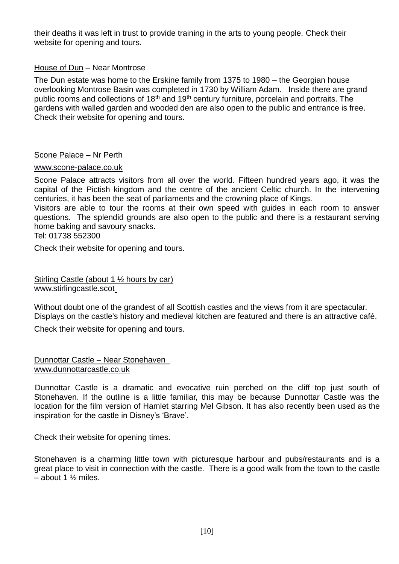their deaths it was left in trust to provide training in the arts to young people. Check their website for opening and tours.

### House of Dun – Near Montrose

The Dun estate was home to the Erskine family from 1375 to 1980 – the Georgian house overlooking Montrose Basin was completed in 1730 by William Adam. Inside there are grand public rooms and collections of 18<sup>th</sup> and 19<sup>th</sup> century furniture, porcelain and portraits. The gardens with walled garden and wooded den are also open to the public and entrance is free. Check their website for opening and tours.

### Scone Palace – Nr Perth

#### [www.scone-palace.co.uk](http://www.scone-palace.co.uk/)

Scone Palace attracts visitors from all over the world. Fifteen hundred years ago, it was the capital of the Pictish kingdom and the centre of the ancient Celtic church. In the intervening centuries, it has been the seat of parliaments and the crowning place of Kings.

Visitors are able to tour the rooms at their own speed with guides in each room to answer questions. The splendid grounds are also open to the public and there is a restaurant serving home baking and savoury snacks.

Tel: 01738 552300

Check their website for opening and tours.

Stirling Castle (about 1 ½ hours by car) www.stirlingcastle.scot

Without doubt one of the grandest of all Scottish castles and the views from it are spectacular. Displays on the castle's history and medieval kitchen are featured and there is an attractive café.

Check their website for opening and tours.

Dunnottar Castle – Near Stonehaven [www.dunnottarcastle.co.uk](http://www.dunnottarcastle.co.uk/)

Dunnottar Castle is a dramatic and evocative ruin perched on the cliff top just south of Stonehaven. If the outline is a little familiar, this may be because Dunnottar Castle was the location for the film version of Hamlet starring Mel Gibson. It has also recently been used as the inspiration for the castle in Disney's 'Brave'.

Check their website for opening times.

Stonehaven is a charming little town with picturesque harbour and pubs/restaurants and is a great place to visit in connection with the castle. There is a good walk from the town to the castle – about 1 ½ miles.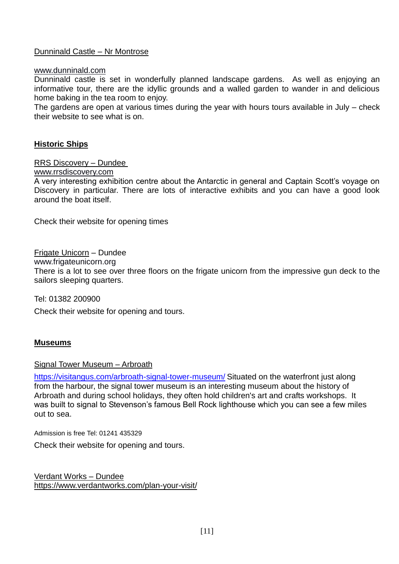### Dunninald Castle – Nr Montrose

#### [www.dunninald.com](http://www.dunninald.com/)

Dunninald castle is set in wonderfully planned landscape gardens. As well as enjoying an informative tour, there are the idyllic grounds and a walled garden to wander in and delicious home baking in the tea room to enjoy.

The gardens are open at various times during the year with hours tours available in July – check their website to see what is on.

#### **Historic Ships**

RRS Discovery – Dundee

[www.rrsdiscovery.com](http://www.rrsdiscovery.com/)

A very interesting exhibition centre about the Antarctic in general and Captain Scott's voyage on Discovery in particular. There are lots of interactive exhibits and you can have a good look around the boat itself.

Check their website for opening times

Frigate Unicorn – Dundee [www.frigateunicorn.org](http://www.frigateunicorn.org/) There is a lot to see over three floors on the frigate unicorn from the impressive gun deck to the sailors sleeping quarters.

Tel: 01382 200900

Check their website for opening and tours.

#### **Museums**

Signal Tower Museum – Arbroath

<https://visitangus.com/arbroath-signal-tower-museum/> Situated on the waterfront just along from the harbour, the signal tower museum is an interesting museum about the history of Arbroath and during school holidays, they often hold children's art and crafts workshops. It was built to signal to Stevenson's famous Bell Rock lighthouse which you can see a few miles out to sea.

Admission is free Tel: 01241 435329

Check their website for opening and tours.

Verdant Works – Dundee <https://www.verdantworks.com/plan-your-visit/>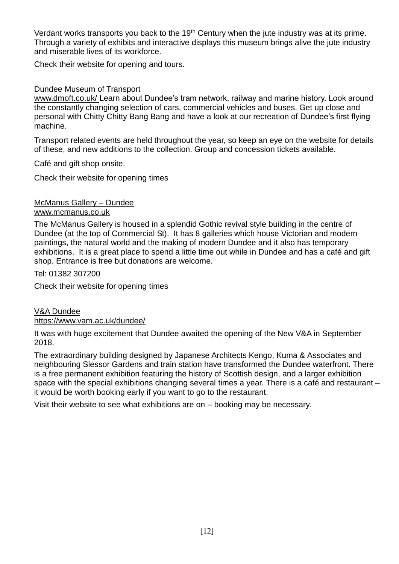Verdant works transports you back to the 19<sup>th</sup> Century when the jute industry was at its prime. Through a variety of exhibits and interactive displays this museum brings alive the jute industry and miserable lives of its workforce.

Check their website for opening and tours.

### Dundee Museum of Transport

[www.dmoft.co.uk/](http://www.dmoft.co.uk/) Learn about Dundee's tram network, railway and marine history. Look around the constantly changing selection of cars, commercial vehicles and buses. Get up close and personal with Chitty Chitty Bang Bang and have a look at our recreation of Dundee's first flying machine.

Transport related events are held throughout the year, so keep an eye on the website for details of these, and new additions to the collection. Group and concession tickets available.

Café and gift shop onsite.

Check their website for opening times

# McManus Gallery – Dundee

### [www.mcmanus.co.uk](http://www.mcmanus.co.uk/)

The McManus Gallery is housed in a splendid Gothic revival style building in the centre of Dundee (at the top of Commercial St). It has 8 galleries which house Victorian and modern paintings, the natural world and the making of modern Dundee and it also has temporary exhibitions. It is a great place to spend a little time out while in Dundee and has a café and gift shop. Entrance is free but donations are welcome.

Tel: 01382 307200

Check their website for opening times

### V&A Dundee

### <https://www.vam.ac.uk/dundee/>

It was with huge excitement that Dundee awaited the opening of the New V&A in September 2018.

The extraordinary building designed by Japanese Architects Kengo, Kuma & Associates and neighbouring Slessor Gardens and train station have transformed the Dundee waterfront. There is a free permanent exhibition featuring the history of Scottish design, and a larger exhibition space with the special exhibitions changing several times a year. There is a café and restaurant – it would be worth booking early if you want to go to the restaurant.

Visit their website to see what exhibitions are on – booking may be necessary.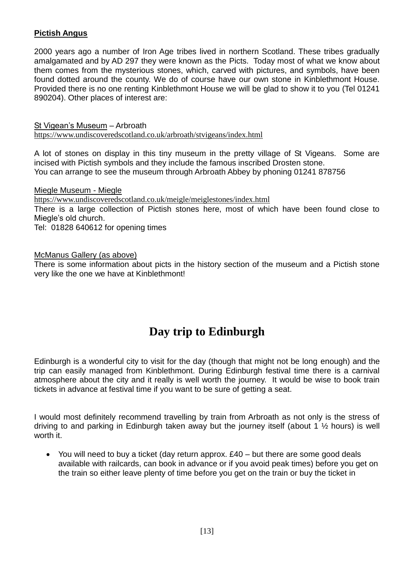### **Pictish Angus**

2000 years ago a number of Iron Age tribes lived in northern Scotland. These tribes gradually amalgamated and by AD 297 they were known as the Picts. Today most of what we know about them comes from the mysterious stones, which, carved with pictures, and symbols, have been found dotted around the county. We do of course have our own stone in Kinblethmont House. Provided there is no one renting Kinblethmont House we will be glad to show it to you (Tel 01241 890204). Other places of interest are:

St Vigean's Museum – Arbroath <https://www.undiscoveredscotland.co.uk/arbroath/stvigeans/index.html>

A lot of stones on display in this tiny museum in the pretty village of St Vigeans. Some are incised with Pictish symbols and they include the famous inscribed Drosten stone. You can arrange to see the museum through Arbroath Abbey by phoning 01241 878756

Miegle Museum - Miegle <https://www.undiscoveredscotland.co.uk/meigle/meiglestones/index.html> There is a large collection of Pictish stones here, most of which have been found close to Miegle's old church. Tel: 01828 640612 for opening times

McManus Gallery (as above)

There is some information about picts in the history section of the museum and a Pictish stone very like the one we have at Kinblethmont!

# **Day trip to Edinburgh**

<span id="page-12-0"></span>Edinburgh is a wonderful city to visit for the day (though that might not be long enough) and the trip can easily managed from Kinblethmont. During Edinburgh festival time there is a carnival atmosphere about the city and it really is well worth the journey. It would be wise to book train tickets in advance at festival time if you want to be sure of getting a seat.

I would most definitely recommend travelling by train from Arbroath as not only is the stress of driving to and parking in Edinburgh taken away but the journey itself (about 1 ½ hours) is well worth it.

• You will need to buy a ticket (day return approx. £40 – but there are some good deals available with railcards, can book in advance or if you avoid peak times) before you get on the train so either leave plenty of time before you get on the train or buy the ticket in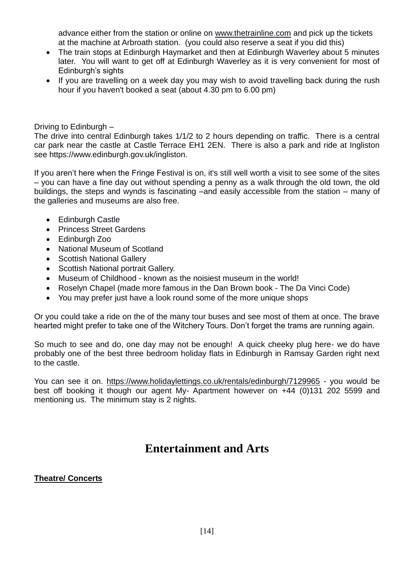advance either from the station or online on [www.thetrainline.com](http://www.thetrainline.com/) and pick up the tickets at the machine at Arbroath station. (you could also reserve a seat if you did this)

- The train stops at Edinburgh Haymarket and then at Edinburgh Waverley about 5 minutes later. You will want to get off at Edinburgh Waverley as it is very convenient for most of Edinburgh's sights
- If you are travelling on a week day you may wish to avoid travelling back during the rush hour if you haven't booked a seat (about 4.30 pm to 6.00 pm)

Driving to Edinburgh –

The drive into central Edinburgh takes 1/1/2 to 2 hours depending on traffic. There is a central car park near the castle at Castle Terrace EH1 2EN. There is also a park and ride at Ingliston see https://www.edinburgh.gov.uk/ingliston.

If you aren't here when the Fringe Festival is on, it's still well worth a visit to see some of the sites – you can have a fine day out without spending a penny as a walk through the old town, the old buildings, the steps and wynds is fascinating –and easily accessible from the station – many of the galleries and museums are also free.

- Edinburgh Castle
- Princess Street Gardens
- Edinburgh Zoo
- National Museum of Scotland
- Scottish National Gallery
- Scottish National portrait Gallery.
- Museum of Childhood known as the noisiest museum in the world!
- Roselyn Chapel (made more famous in the Dan Brown book The Da Vinci Code)
- You may prefer just have a look round some of the more unique shops

Or you could take a ride on the of the many tour buses and see most of them at once. The brave hearted might prefer to take one of the Witchery Tours. Don't forget the trams are running again.

So much to see and do, one day may not be enough! A quick cheeky plug here- we do have probably one of the best three bedroom holiday flats in Edinburgh in Ramsay Garden right next to the castle.

You can see it on.<https://www.holidaylettings.co.uk/rentals/edinburgh/7129965> - you would be best off booking it though our agent My- Apartment however on +44 (0)131 202 5599 and mentioning us. The minimum stay is 2 nights.

## **Entertainment and Arts**

### <span id="page-13-0"></span>**Theatre/ Concerts**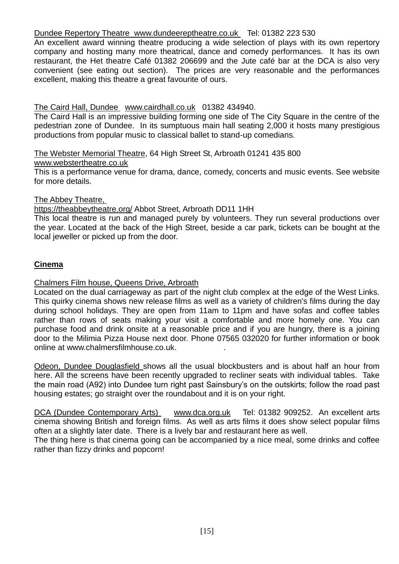### Dundee Repertory Theatre [www.dundeereptheatre.co.uk](http://www.dundeereptheatre.co.uk/) Tel: 01382 223 530

An excellent award winning theatre producing a wide selection of plays with its own repertory company and hosting many more theatrical, dance and comedy performances. It has its own restaurant, the Het theatre Café 01382 206699 and the Jute café bar at the DCA is also very convenient (see eating out section). The prices are very reasonable and the performances excellent, making this theatre a great favourite of ours.

### The Caird Hall, Dundee [www.cairdhall.co.uk](http://www.cairdhall.co.uk/) 01382 434940.

The Caird Hall is an impressive building forming one side of The City Square in the centre of the pedestrian zone of Dundee. In its sumptuous main hall seating 2,000 it hosts many prestigious productions from popular music to classical ballet to stand-up comedians.

The Webster Memorial Theatre, 64 High Street St, Arbroath 01241 435 800

### [www.webstertheatre.co.uk](http://www.webstertheatre.co.uk/)

This is a performance venue for drama, dance, comedy, concerts and music events. See website for more details.

### The Abbey Theatre,

### <https://theabbeytheatre.org/> Abbot Street, Arbroath DD11 1HH

This local theatre is run and managed purely by volunteers. They run several productions over the year. Located at the back of the High Street, beside a car park, tickets can be bought at the local jeweller or picked up from the door.

## **Cinema**

### Chalmers Film house, Queens Drive, Arbroath

Located on the dual carriageway as part of the night club complex at the edge of the West Links. This quirky cinema shows new release films as well as a variety of children's films during the day during school holidays. They are open from 11am to 11pm and have sofas and coffee tables rather than rows of seats making your visit a comfortable and more homely one. You can purchase food and drink onsite at a reasonable price and if you are hungry, there is a joining door to the Milimia Pizza House next door. Phone 07565 032020 for further information or book online at www.chalmersfilmhouse.co.uk. .

Odeon, Dundee Douglasfield shows all the usual blockbusters and is about half an hour from here. All the screens have been recently upgraded to recliner seats with individual tables. Take the main road (A92) into Dundee turn right past Sainsbury's on the outskirts; follow the road past housing estates; go straight over the roundabout and it is on your right.

DCA (Dundee Contemporary Arts) [www.dca.org.uk](http://www.dca.org.uk/) Tel: 01382 909252. An excellent arts cinema showing British and foreign films. As well as arts films it does show select popular films often at a slightly later date. There is a lively bar and restaurant here as well.

The thing here is that cinema going can be accompanied by a nice meal, some drinks and coffee rather than fizzy drinks and popcorn!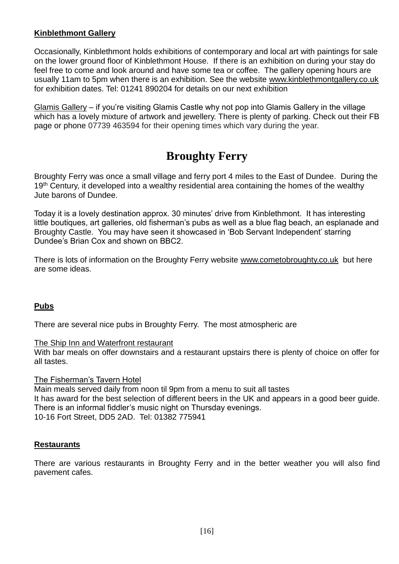### **Kinblethmont Gallery**

Occasionally, Kinblethmont holds exhibitions of contemporary and local art with paintings for sale on the lower ground floor of Kinblethmont House. If there is an exhibition on during your stay do feel free to come and look around and have some tea or coffee. The gallery opening hours are usually 11am to 5pm when there is an exhibition. See the website [www.kinblethmontgallery.co.uk](http://www.kinblethmontgallery.co.uk/) for exhibition dates. Tel: 01241 890204 for details on our next exhibition

Glamis Gallery – if you're visiting Glamis Castle why not pop into Glamis Gallery in the village which has a lovely mixture of artwork and jewellery. There is plenty of parking. Check out their FB page or phone 07739 463594 for their opening times which vary during the year.

# **Broughty Ferry**

<span id="page-15-0"></span>Broughty Ferry was once a small village and ferry port 4 miles to the East of Dundee. During the 19<sup>th</sup> Century, it developed into a wealthy residential area containing the homes of the wealthy Jute barons of Dundee.

Today it is a lovely destination approx. 30 minutes' drive from Kinblethmont. It has interesting little boutiques, art galleries, old fisherman's pubs as well as a blue flag beach, an esplanade and Broughty Castle. You may have seen it showcased in 'Bob Servant Independent' starring Dundee's Brian Cox and shown on BBC2.

There is lots of information on the Broughty Ferry website [www.cometobroughty.co.uk](http://www.cometobroughty.co.uk/) but here are some ideas.

### **Pubs**

There are several nice pubs in Broughty Ferry. The most atmospheric are

### The Ship Inn and Waterfront restaurant

With bar meals on offer downstairs and a restaurant upstairs there is plenty of choice on offer for all tastes.

#### The Fisherman's Tavern Hotel

Main meals served daily from noon til 9pm from a menu to suit all tastes It has award for the best selection of different beers in the UK and appears in a good beer guide. There is an informal fiddler's music night on Thursday evenings. 10-16 Fort Street, DD5 2AD. Tel: 01382 775941

### **Restaurants**

There are various restaurants in Broughty Ferry and in the better weather you will also find pavement cafes.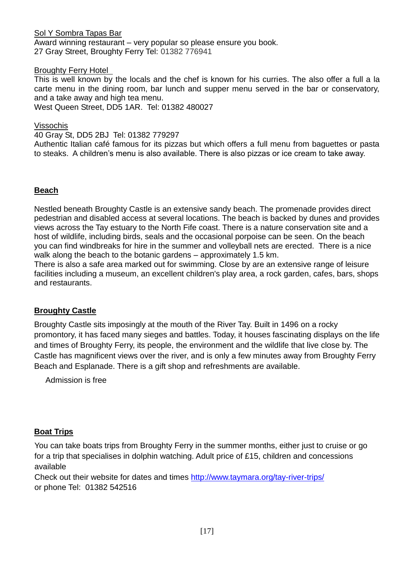Sol Y Sombra Tapas Bar Award winning restaurant – very popular so please ensure you book. 27 Gray Street, Broughty Ferry Tel: 01382 776941

Broughty Ferry Hotel

This is well known by the locals and the chef is known for his curries. The also offer a full a la carte menu in the dining room, bar lunch and supper menu served in the bar or conservatory, and a take away and high tea menu.

West Queen Street, DD5 1AR. Tel: 01382 480027

Vissochis

40 Gray St, DD5 2BJ Tel: 01382 779297

Authentic Italian café famous for its pizzas but which offers a full menu from baguettes or pasta to steaks. A children's menu is also available. There is also pizzas or ice cream to take away.

### **Beach**

Nestled beneath Broughty Castle is an extensive sandy beach. The promenade provides direct pedestrian and disabled access at several locations. The beach is backed by dunes and provides views across the Tay estuary to the North Fife coast. There is a nature conservation site and a host of wildlife, including birds, seals and the occasional porpoise can be seen. On the beach you can find windbreaks for hire in the summer and volleyball nets are erected. There is a nice walk along the beach to the botanic gardens – approximately 1.5 km.

There is also a safe area marked out for swimming. Close by are an extensive range of leisure facilities including a museum, an excellent children's play area, a rock garden, cafes, bars, shops and restaurants.

### **Broughty Castle**

Broughty Castle sits imposingly at the mouth of the River Tay. Built in 1496 on a rocky promontory, it has faced many sieges and battles. Today, it houses fascinating displays on the life and times of Broughty Ferry, its people, the environment and the wildlife that live close by. The Castle has magnificent views over the river, and is only a few minutes away from Broughty Ferry Beach and Esplanade. There is a gift shop and refreshments are available.

Admission is free

### **Boat Trips**

You can take boats trips from Broughty Ferry in the summer months, either just to cruise or go for a trip that specialises in dolphin watching. Adult price of £15, children and concessions available

Check out their website for dates and times<http://www.taymara.org/tay-river-trips/> or phone Tel: 01382 542516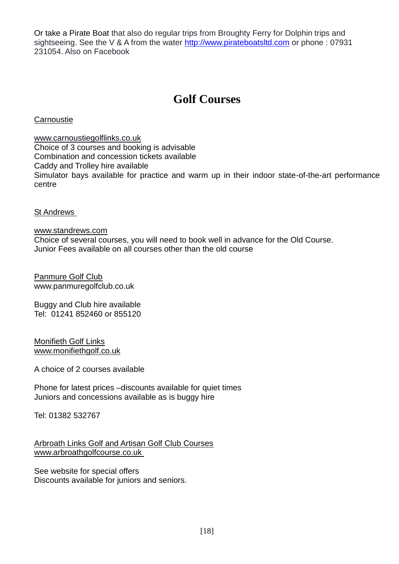Or take a Pirate Boat that also do regular trips from Broughty Ferry for Dolphin trips and sightseeing. See the V & A from the water [http://www.pirateboatsltd.com](http://www.pirateboatsltd.com/) or phone : 07931 231054. Also on Facebook

# **Golf Courses**

<span id="page-17-0"></span>**Carnoustie** 

[www.carnoustiegolflinks.co.uk](http://www.carnoustiegolflinks.co.uk/) Choice of 3 courses and booking is advisable Combination and concession tickets available Caddy and Trolley hire available Simulator bays available for practice and warm up in their indoor state-of-the-art performance centre

St Andrews

[www.standrews.com](http://www.standrews.com/) Choice of several courses, you will need to book well in advance for the Old Course. Junior Fees available on all courses other than the old course

Panmure Golf Club [www.panmuregolfclub.co.uk](http://www.panmuregolfclub.co.uk/)

Buggy and Club hire available Tel: 01241 852460 or 855120

Monifieth Golf Links [www.monifiethgolf.co.uk](http://www.monifiethgolf.co.uk/)

A choice of 2 courses available

Phone for latest prices –discounts available for quiet times Juniors and concessions available as is buggy hire

Tel: 01382 532767

Arbroath Links Golf and Artisan Golf Club Courses [www.arbroathgolfcourse.co.uk](http://www.arbroathgolfcourse.co.uk/)

See website for special offers Discounts available for juniors and seniors.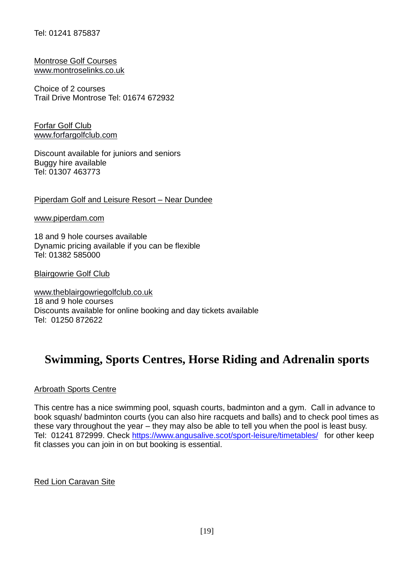### Tel: 01241 875837

Montrose Golf Courses [www.montroselinks.co.uk](http://www.montroselinks.co.uk/)

Choice of 2 courses Trail Drive Montrose Tel: 01674 672932

Forfar Golf Club [www.forfargolfclub.com](http://www.forfargolfclub.com/)

Discount available for juniors and seniors Buggy hire available Tel: 01307 463773

Piperdam Golf and Leisure Resort – Near Dundee

[www.piperdam.com](http://www.piperdam.com/)

18 and 9 hole courses available Dynamic pricing available if you can be flexible Tel: 01382 585000

Blairgowrie Golf Club

[www.theblairgowriegolfclub.co.uk](http://www.theblairgowriegolfclub.co.uk/) 18 and 9 hole courses Discounts available for online booking and day tickets available Tel: 01250 872622

# <span id="page-18-0"></span>**Swimming, Sports Centres, Horse Riding and Adrenalin sports**

### Arbroath Sports Centre

This centre has a nice swimming pool, squash courts, badminton and a gym. Call in advance to book squash/ badminton courts (you can also hire racquets and balls) and to check pool times as these vary throughout the year – they may also be able to tell you when the pool is least busy. Tel: 01241 872999. Check<https://www.angusalive.scot/sport-leisure/timetables/> for other keep fit classes you can join in on but booking is essential.

Red Lion Caravan Site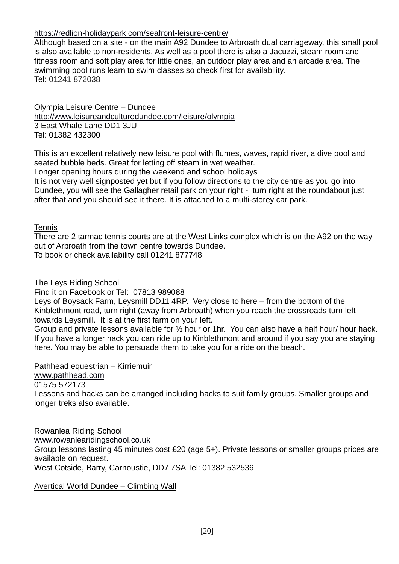### <https://redlion-holidaypark.com/seafront-leisure-centre/>

Although based on a site - on the main A92 Dundee to Arbroath dual carriageway, this small pool is also available to non-residents. As well as a pool there is also a Jacuzzi, steam room and fitness room and soft play area for little ones, an outdoor play area and an arcade area. The swimming pool runs learn to swim classes so check first for availability. Tel: 01241 872038

Olympia Leisure Centre – Dundee <http://www.leisureandculturedundee.com/leisure/olympia> 3 East Whale Lane DD1 3JU Tel: 01382 432300

This is an excellent relatively new leisure pool with flumes, waves, rapid river, a dive pool and seated bubble beds. Great for letting off steam in wet weather.

Longer opening hours during the weekend and school holidays

It is not very well signposted yet but if you follow directions to the city centre as you go into Dundee, you will see the Gallagher retail park on your right - turn right at the roundabout just after that and you should see it there. It is attached to a multi-storey car park.

### **Tennis**

There are 2 tarmac tennis courts are at the West Links complex which is on the A92 on the way out of Arbroath from the town centre towards Dundee. To book or check availability call 01241 877748

The Leys Riding School

Find it on Facebook or Tel: 07813 989088

Leys of Boysack Farm, Leysmill DD11 4RP. Very close to here – from the bottom of the Kinblethmont road, turn right (away from Arbroath) when you reach the crossroads turn left towards Leysmill. It is at the first farm on your left.

Group and private lessons available for ½ hour or 1hr. You can also have a half hour/ hour hack. If you have a longer hack you can ride up to Kinblethmont and around if you say you are staying here. You may be able to persuade them to take you for a ride on the beach.

Pathhead equestrian – Kirriemuir

[www.pathhead.com](http://www.pathhead.com/)

01575 572173

Lessons and hacks can be arranged including hacks to suit family groups. Smaller groups and longer treks also available.

Rowanlea Riding School [www.rowanlearidingschool.co.uk](http://www.rowanlearidingschool.c.uk/) Group lessons lasting 45 minutes cost £20 (age 5+). Private lessons or smaller groups prices are available on request. West Cotside, Barry, Carnoustie, DD7 7SA Tel: 01382 532536

Avertical World Dundee – Climbing Wall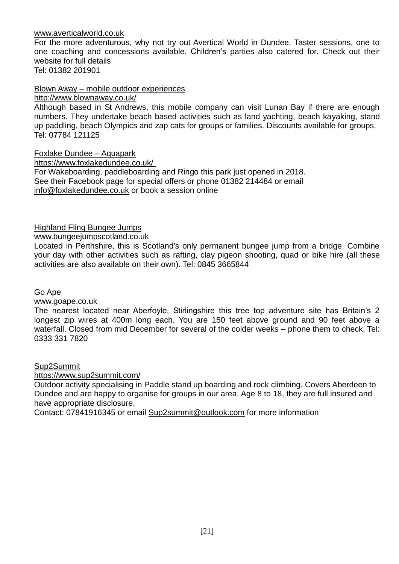[www.averticalworld.co.uk](http://www.averticalworld.co.uk/)

For the more adventurous, why not try out Avertical World in Dundee. Taster sessions, one to one coaching and concessions available. Children's parties also catered for. Check out their website for full details Tel: 01382 201901

Blown Away – mobile outdoor experiences

<http://www.blownaway.co.uk/>

Although based in St Andrews, this mobile company can visit Lunan Bay if there are enough numbers. They undertake beach based activities such as land yachting, beach kayaking, stand up paddling, beach Olympics and zap cats for groups or families. Discounts available for groups. Tel: 07784 121125

Foxlake Dundee – Aquapark

<https://www.foxlakedundee.co.uk/> For Wakeboarding, paddleboarding and Ringo this park just opened in 2018. See their Facebook page for special offers or phone 01382 214484 or email [info@foxlakedundee.co.uk](mailto:info@foxlakedundee.co.uk) or book a session online

Highland Fling Bungee Jumps

[www.bungeejumpscotland.co.uk](http://www.bungeejumpscotland.co.uk/)

Located in Perthshire, this is Scotland's only permanent bungee jump from a bridge. Combine your day with other activities such as rafting, clay pigeon shooting, quad or bike hire (all these activities are also available on their own). Tel: 0845 3665844

Go Ape

[www.goape.co.uk](http://www.goape.co.uk/) 

The nearest located near Aberfoyle, Stirlingshire this tree top adventure site has Britain's 2 longest zip wires at 400m long each. You are 150 feet above ground and 90 feet above a waterfall. Closed from mid December for several of the colder weeks – phone them to check. Tel: 0333 331 7820

### Sup2Summit

<https://www.sup2summit.com/>

Outdoor activity specialising in Paddle stand up boarding and rock climbing. Covers Aberdeen to Dundee and are happy to organise for groups in our area. Age 8 to 18, they are full insured and have appropriate disclosure,

Contact: 07841916345 or email [Sup2summit@outlook.com](mailto:Sup2summit@outlook.com) for more information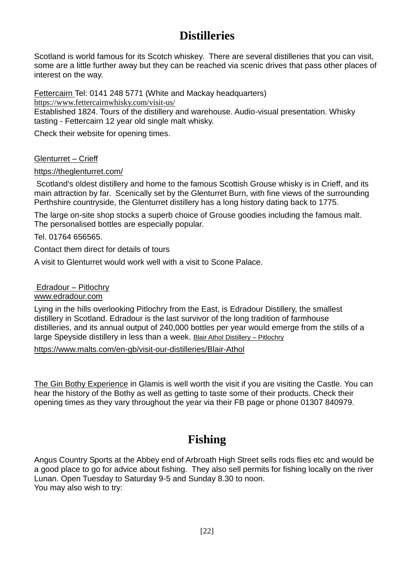# **Distilleries**

<span id="page-21-0"></span>Scotland is world famous for its Scotch whiskey. There are several distilleries that you can visit, some are a little further away but they can be reached via scenic drives that pass other places of interest on the way.

Fettercairn Tel: 0141 248 5771 (White and Mackay headquarters)

<https://www.fettercairnwhisky.com/visit-us/>

Established 1824. Tours of the distillery and warehouse. Audio-visual presentation. Whisky tasting - Fettercairn 12 year old single malt whisky.

Check their website for opening times.

## Glenturret – Crieff

## <https://theglenturret.com/>

Scotland's oldest distillery and home to the famous Scottish Grouse whisky is in Crieff, and its main attraction by far. Scenically set by the Glenturret Burn, with fine views of the surrounding Perthshire countryside, the Glenturret distillery has a long history dating back to 1775.

The large on-site shop stocks a superb choice of Grouse goodies including the famous malt. The personalised bottles are especially popular.

Tel. 01764 656565.

Contact them direct for details of tours

A visit to Glenturret would work well with a visit to Scone Palace.

Edradour – Pitlochry [www.edradour.com](http://www.edradour.com/) 

Lying in the hills overlooking Pitlochry from the East, is Edradour Distillery, the smallest distillery in Scotland. Edradour is the last survivor of the long tradition of farmhouse distilleries, and its annual output of 240,000 bottles per year would emerge from the stills of a large Speyside distillery in less than a week. Blair Athol Distillery – Pitlochry

<https://www.malts.com/en-gb/visit-our-distilleries/Blair-Athol>

The Gin Bothy Experience in Glamis is well worth the visit if you are visiting the Castle. You can hear the history of the Bothy as well as getting to taste some of their products. Check their opening times as they vary throughout the year via their FB page or phone 01307 840979.

# **Fishing**

<span id="page-21-1"></span>Angus Country Sports at the Abbey end of Arbroath High Street sells rods flies etc and would be a good place to go for advice about fishing. They also sell permits for fishing locally on the river Lunan. Open Tuesday to Saturday 9-5 and Sunday 8.30 to noon. You may also wish to try: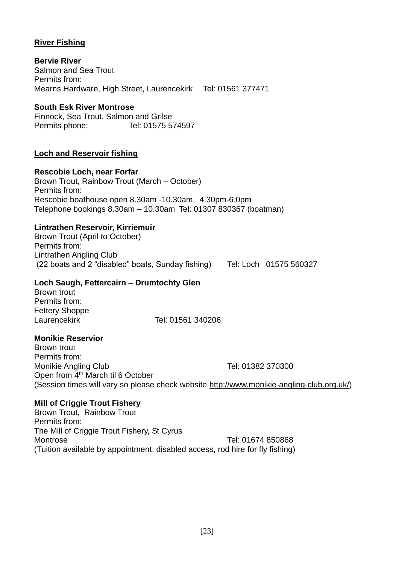## **River Fishing**

**Bervie River**  Salmon and Sea Trout Permits from: Mearns Hardware, High Street, Laurencekirk Tel: 01561 377471

### **South Esk River Montrose**

Finnock, Sea Trout, Salmon and Grilse Permits phone: Tel: 01575 574597

### **Loch and Reservoir fishing**

### **Rescobie Loch, near Forfar**

Brown Trout, Rainbow Trout (March – October) Permits from: Rescobie boathouse open 8.30am -10.30am, 4.30pm-6.0pm Telephone bookings 8.30am – 10.30am Tel: 01307 830367 (boatman)

### **Lintrathen Reservoir, Kirriemuir**

Brown Trout (April to October) Permits from: Lintrathen Angling Club (22 boats and 2 "disabled" boats, Sunday fishing) Tel: Loch 01575 560327

### **Loch Saugh, Fettercairn – Drumtochty Glen**

Brown trout Permits from: Fettery Shoppe Laurencekirk Tel: 01561 340206

### **Monikie Reservior**

Brown trout Permits from: Monikie Angling Club Tel: 01382 370300 Open from 4<sup>th</sup> March til 6 October (Session times will vary so please check website [http://www.monikie-angling-club.org.uk/\)](http://www.monikie-angling-club.org.uk/)

### **Mill of Criggie Trout Fishery**

Brown Trout, Rainbow Trout Permits from: The Mill of Criggie Trout Fishery, St Cyrus Montrose Tel: 01674 850868 (Tuition available by appointment, disabled access, rod hire for fly fishing)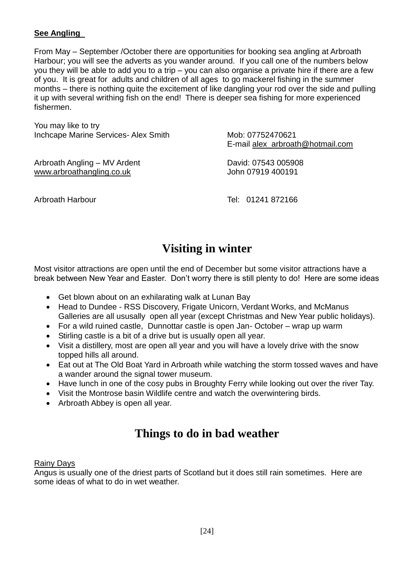### **See Angling**

From May – September /October there are opportunities for booking sea angling at Arbroath Harbour; you will see the adverts as you wander around. If you call one of the numbers below you they will be able to add you to a trip – you can also organise a private hire if there are a few of you. It is great for adults and children of all ages to go mackerel fishing in the summer months – there is nothing quite the excitement of like dangling your rod over the side and pulling it up with several writhing fish on the end! There is deeper sea fishing for more experienced fishermen.

You may like to try Inchcape Marine Services- Alex Smith Mob: 07752470621

Arbroath Angling – MV Ardent David: 07543 005908 [www.arbroathangling.co.uk](http://www.arbroathangling.co.uk/) John 07919 400191

E-mail [alex\\_arbroath@hotmail.com](mailto:alex_arbroath@hotmail.com)

Arbroath Harbour **Tel: 01241 872166** 

# **Visiting in winter**

<span id="page-23-0"></span>Most visitor attractions are open until the end of December but some visitor attractions have a break between New Year and Easter. Don't worry there is still plenty to do! Here are some ideas

- Get blown about on an exhilarating walk at Lunan Bay
- Head to Dundee RSS Discovery, Frigate Unicorn, Verdant Works, and McManus Galleries are all ususally open all year (except Christmas and New Year public holidays).
- For a wild ruined castle, Dunnottar castle is open Jan- October wrap up warm
- Stirling castle is a bit of a drive but is usually open all year.
- Visit a distillery, most are open all year and you will have a lovely drive with the snow topped hills all around.
- Eat out at The Old Boat Yard in Arbroath while watching the storm tossed waves and have a wander around the signal tower museum.
- Have lunch in one of the cosy pubs in Broughty Ferry while looking out over the river Tay.
- Visit the Montrose basin Wildlife centre and watch the overwintering birds.
- Arbroath Abbey is open all year.

# **Things to do in bad weather**

## <span id="page-23-1"></span>Rainy Days

Angus is usually one of the driest parts of Scotland but it does still rain sometimes. Here are some ideas of what to do in wet weather.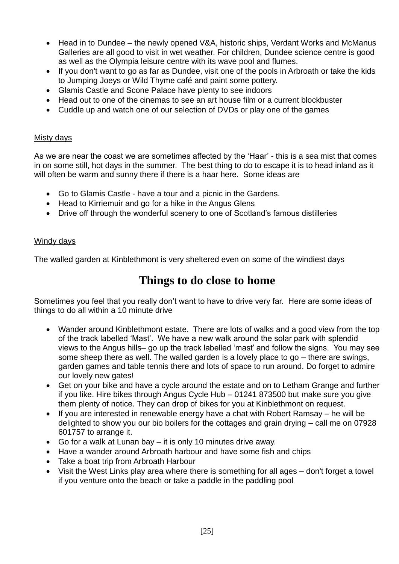- Head in to Dundee the newly opened V&A, historic ships, Verdant Works and McManus Galleries are all good to visit in wet weather. For children, Dundee science centre is good as well as the Olympia leisure centre with its wave pool and flumes.
- If you don't want to go as far as Dundee, visit one of the pools in Arbroath or take the kids to Jumping Joeys or Wild Thyme café and paint some pottery.
- Glamis Castle and Scone Palace have plenty to see indoors
- Head out to one of the cinemas to see an art house film or a current blockbuster
- Cuddle up and watch one of our selection of DVDs or play one of the games

### Misty days

As we are near the coast we are sometimes affected by the 'Haar' - this is a sea mist that comes in on some still, hot days in the summer. The best thing to do to escape it is to head inland as it will often be warm and sunny there if there is a haar here. Some ideas are

- Go to Glamis Castle have a tour and a picnic in the Gardens.
- Head to Kirriemuir and go for a hike in the Angus Glens
- Drive off through the wonderful scenery to one of Scotland's famous distilleries

### Windy days

<span id="page-24-0"></span>The walled garden at Kinblethmont is very sheltered even on some of the windiest days

# **Things to do close to home**

Sometimes you feel that you really don't want to have to drive very far. Here are some ideas of things to do all within a 10 minute drive

- Wander around Kinblethmont estate. There are lots of walks and a good view from the top of the track labelled 'Mast'. We have a new walk around the solar park with splendid views to the Angus hills– go up the track labelled 'mast' and follow the signs. You may see some sheep there as well. The walled garden is a lovely place to go – there are swings, garden games and table tennis there and lots of space to run around. Do forget to admire our lovely new gates!
- Get on your bike and have a cycle around the estate and on to Letham Grange and further if you like. Hire bikes through Angus Cycle Hub – 01241 873500 but make sure you give them plenty of notice. They can drop of bikes for you at Kinblethmont on request.
- If you are interested in renewable energy have a chat with Robert Ramsay he will be delighted to show you our bio boilers for the cottages and grain drying – call me on 07928 601757 to arrange it.
- Go for a walk at Lunan bay it is only 10 minutes drive away.
- Have a wander around Arbroath harbour and have some fish and chips
- Take a boat trip from Arbroath Harbour
- Visit the West Links play area where there is something for all ages don't forget a towel if you venture onto the beach or take a paddle in the paddling pool